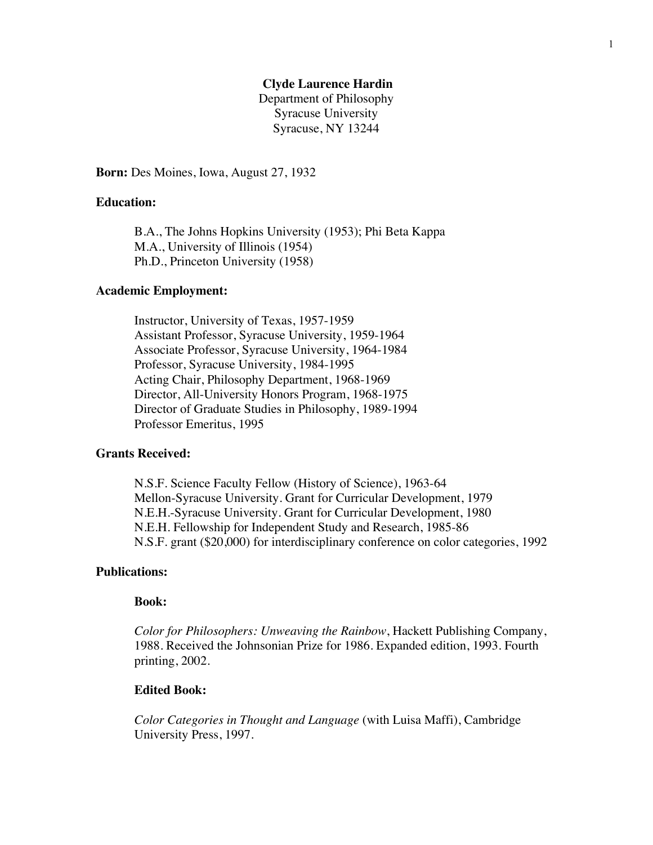## **Clyde Laurence Hardin**

Department of Philosophy Syracuse University Syracuse, NY 13244

**Born:** Des Moines, Iowa, August 27, 1932

# **Education:**

B.A., The Johns Hopkins University (1953); Phi Beta Kappa M.A., University of Illinois (1954) Ph.D., Princeton University (1958)

#### **Academic Employment:**

Instructor, University of Texas, 1957-1959 Assistant Professor, Syracuse University, 1959-1964 Associate Professor, Syracuse University, 1964-1984 Professor, Syracuse University, 1984-1995 Acting Chair, Philosophy Department, 1968-1969 Director, All-University Honors Program, 1968-1975 Director of Graduate Studies in Philosophy, 1989-1994 Professor Emeritus, 1995

## **Grants Received:**

N.S.F. Science Faculty Fellow (History of Science), 1963-64 Mellon-Syracuse University. Grant for Curricular Development, 1979 N.E.H.-Syracuse University. Grant for Curricular Development, 1980 N.E.H. Fellowship for Independent Study and Research, 1985-86 N.S.F. grant (\$20,000) for interdisciplinary conference on color categories, 1992

## **Publications:**

## **Book:**

*Color for Philosophers: Unweaving the Rainbow*, Hackett Publishing Company, 1988. Received the Johnsonian Prize for 1986. Expanded edition, 1993. Fourth printing, 2002.

#### **Edited Book:**

*Color Categories in Thought and Language* (with Luisa Maffi), Cambridge University Press, 1997.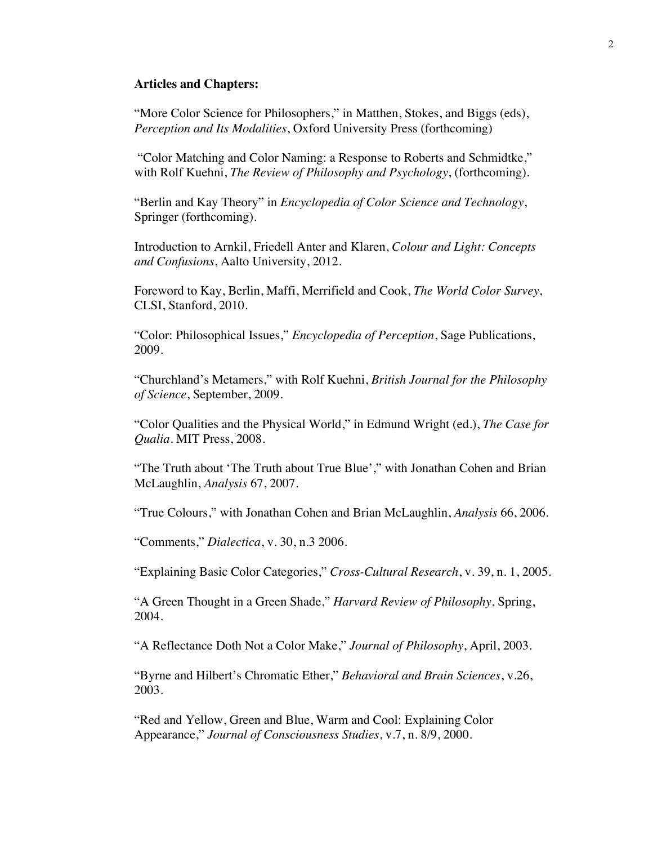#### **Articles and Chapters:**

"More Color Science for Philosophers," in Matthen, Stokes, and Biggs (eds), *Perception and Its Modalities*, Oxford University Press (forthcoming)

"Color Matching and Color Naming: a Response to Roberts and Schmidtke," with Rolf Kuehni, *The Review of Philosophy and Psychology*, (forthcoming).

"Berlin and Kay Theory" in *Encyclopedia of Color Science and Technology*, Springer (forthcoming).

Introduction to Arnkil, Friedell Anter and Klaren, *Colour and Light: Concepts and Confusions*, Aalto University, 2012.

Foreword to Kay, Berlin, Maffi, Merrifield and Cook, *The World Color Survey*, CLSI, Stanford, 2010.

"Color: Philosophical Issues," *Encyclopedia of Perception*, Sage Publications, 2009.

"Churchland's Metamers," with Rolf Kuehni, *British Journal for the Philosophy of Science*, September, 2009.

"Color Qualities and the Physical World," in Edmund Wright (ed.), *The Case for Qualia*. MIT Press, 2008.

"The Truth about 'The Truth about True Blue'," with Jonathan Cohen and Brian McLaughlin, *Analysis* 67, 2007.

"True Colours," with Jonathan Cohen and Brian McLaughlin, *Analysis* 66, 2006.

"Comments," *Dialectica*, v. 30, n.3 2006.

"Explaining Basic Color Categories," *Cross-Cultural Research*, v. 39, n. 1, 2005.

"A Green Thought in a Green Shade," *Harvard Review of Philosophy*, Spring, 2004.

"A Reflectance Doth Not a Color Make," *Journal of Philosophy*, April, 2003.

"Byrne and Hilbert's Chromatic Ether," *Behavioral and Brain Sciences*, v.26, 2003.

"Red and Yellow, Green and Blue, Warm and Cool: Explaining Color Appearance," *Journal of Consciousness Studies*, v.7, n. 8/9, 2000.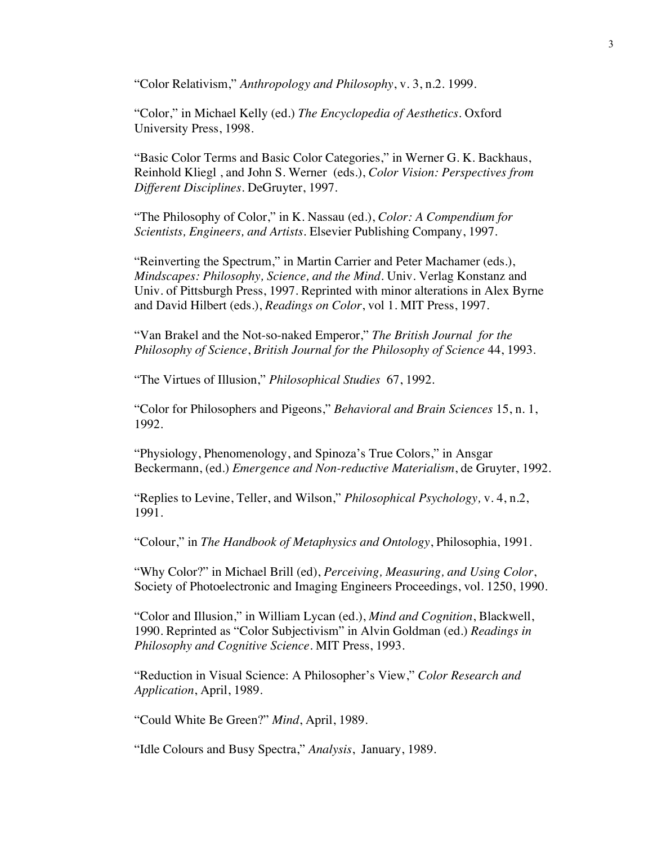"Color Relativism," *Anthropology and Philosophy*, v. 3, n.2. 1999.

"Color," in Michael Kelly (ed.) *The Encyclopedia of Aesthetics*. Oxford University Press, 1998.

"Basic Color Terms and Basic Color Categories," in Werner G. K. Backhaus, Reinhold Kliegl , and John S. Werner (eds.), *Color Vision: Perspectives from Different Disciplines.* DeGruyter, 1997.

"The Philosophy of Color," in K. Nassau (ed.), *Color: A Compendium for Scientists, Engineers, and Artists*. Elsevier Publishing Company, 1997.

"Reinverting the Spectrum," in Martin Carrier and Peter Machamer (eds.), *Mindscapes: Philosophy, Science, and the Mind*. Univ. Verlag Konstanz and Univ. of Pittsburgh Press, 1997. Reprinted with minor alterations in Alex Byrne and David Hilbert (eds.), *Readings on Color*, vol 1. MIT Press, 1997.

"Van Brakel and the Not-so-naked Emperor," *The British Journal for the Philosophy of Science*, *British Journal for the Philosophy of Science* 44, 1993.

"The Virtues of Illusion," *Philosophical Studies* 67, 1992.

"Color for Philosophers and Pigeons," *Behavioral and Brain Sciences* 15, n. 1, 1992.

"Physiology, Phenomenology, and Spinoza's True Colors," in Ansgar Beckermann, (ed.) *Emergence and Non-reductive Materialism*, de Gruyter, 1992.

"Replies to Levine, Teller, and Wilson," *Philosophical Psychology,* v. 4, n.2, 1991.

"Colour," in *The Handbook of Metaphysics and Ontology*, Philosophia, 1991.

"Why Color?" in Michael Brill (ed), *Perceiving, Measuring, and Using Color*, Society of Photoelectronic and Imaging Engineers Proceedings, vol. 1250, 1990.

"Color and Illusion," in William Lycan (ed.), *Mind and Cognition*, Blackwell, 1990. Reprinted as "Color Subjectivism" in Alvin Goldman (ed.) *Readings in Philosophy and Cognitive Science*. MIT Press, 1993.

"Reduction in Visual Science: A Philosopher's View," *Color Research and Application*, April, 1989.

"Could White Be Green?" *Mind*, April, 1989.

"Idle Colours and Busy Spectra," *Analysis*, January, 1989.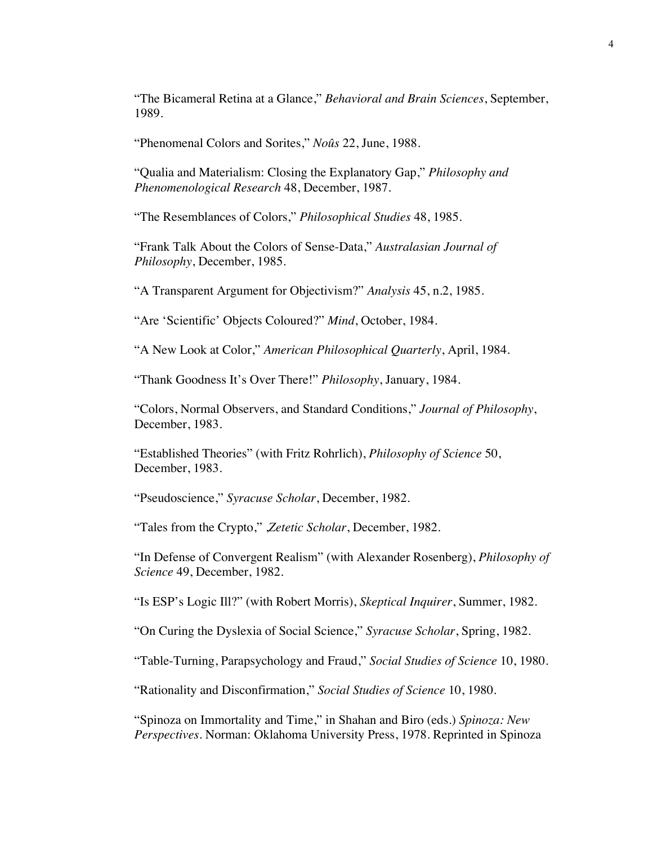"The Bicameral Retina at a Glance," *Behavioral and Brain Sciences*, September, 1989.

"Phenomenal Colors and Sorites," *Noûs* 22, June, 1988.

"Qualia and Materialism: Closing the Explanatory Gap," *Philosophy and Phenomenological Research* 48, December, 1987.

"The Resemblances of Colors," *Philosophical Studies* 48, 1985.

"Frank Talk About the Colors of Sense-Data," *Australasian Journal of Philosophy*, December, 1985.

"A Transparent Argument for Objectivism?" *Analysis* 45, n.2, 1985.

"Are 'Scientific' Objects Coloured?" *Mind*, October, 1984.

"A New Look at Color," *American Philosophical Quarterly*, April, 1984.

"Thank Goodness It's Over There!" *Philosophy*, January, 1984.

"Colors, Normal Observers, and Standard Conditions," *Journal of Philosophy*, December, 1983.

"Established Theories" (with Fritz Rohrlich), *Philosophy of Science* 50, December, 1983.

"Pseudoscience," *Syracuse Scholar*, December, 1982.

"Tales from the Crypto," ,*Zetetic Scholar*, December, 1982.

"In Defense of Convergent Realism" (with Alexander Rosenberg), *Philosophy of Science* 49, December, 1982.

"Is ESP's Logic Ill?" (with Robert Morris), *Skeptical Inquirer*, Summer, 1982.

"On Curing the Dyslexia of Social Science," *Syracuse Scholar*, Spring, 1982.

"Table-Turning, Parapsychology and Fraud," *Social Studies of Science* 10, 1980.

"Rationality and Disconfirmation," *Social Studies of Science* 10, 1980.

"Spinoza on Immortality and Time," in Shahan and Biro (eds.) *Spinoza: New Perspectives*. Norman: Oklahoma University Press, 1978. Reprinted in Spinoza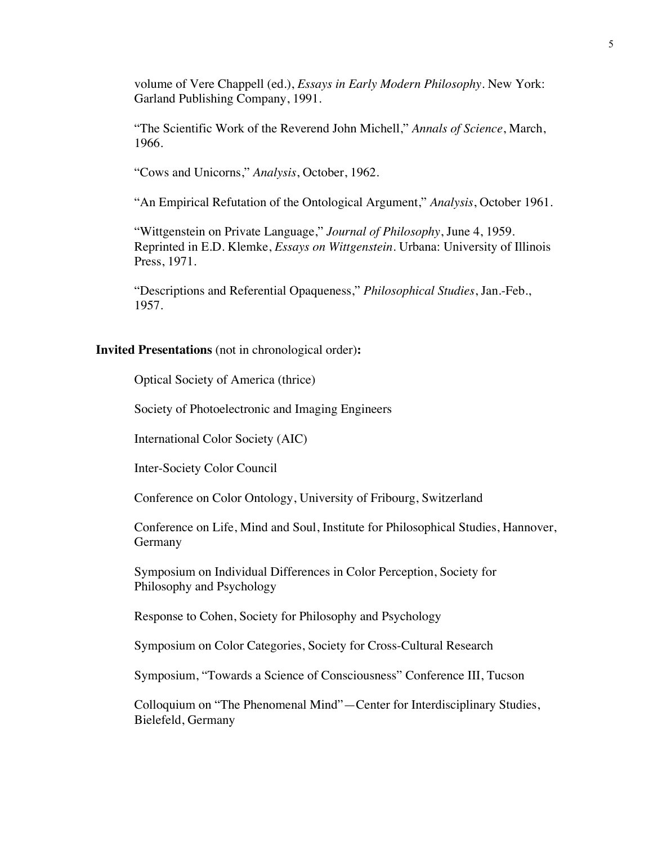volume of Vere Chappell (ed.), *Essays in Early Modern Philosophy*. New York: Garland Publishing Company, 1991.

"The Scientific Work of the Reverend John Michell," *Annals of Science*, March, 1966.

"Cows and Unicorns," *Analysis*, October, 1962.

"An Empirical Refutation of the Ontological Argument," *Analysis*, October 1961.

"Wittgenstein on Private Language," *Journal of Philosophy*, June 4, 1959. Reprinted in E.D. Klemke, *Essays on Wittgenstein*. Urbana: University of Illinois Press, 1971.

"Descriptions and Referential Opaqueness," *Philosophical Studies*, Jan.-Feb., 1957.

### **Invited Presentations** (not in chronological order)**:**

Optical Society of America (thrice)

Society of Photoelectronic and Imaging Engineers

International Color Society (AIC)

Inter-Society Color Council

Conference on Color Ontology, University of Fribourg, Switzerland

Conference on Life, Mind and Soul, Institute for Philosophical Studies, Hannover, Germany

Symposium on Individual Differences in Color Perception, Society for Philosophy and Psychology

Response to Cohen, Society for Philosophy and Psychology

Symposium on Color Categories, Society for Cross-Cultural Research

Symposium, "Towards a Science of Consciousness" Conference III, Tucson

Colloquium on "The Phenomenal Mind"—Center for Interdisciplinary Studies, Bielefeld, Germany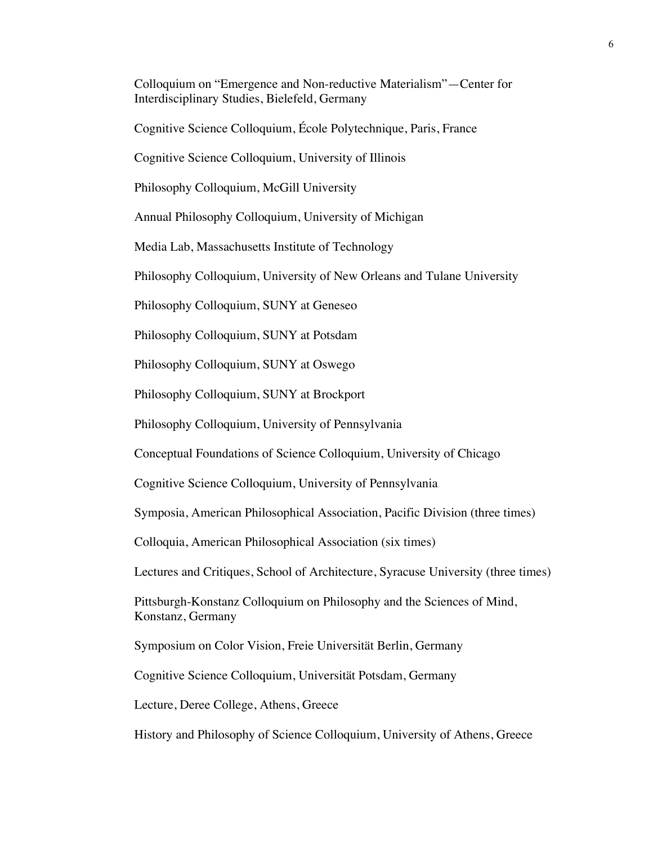Colloquium on "Emergence and Non-reductive Materialism"—Center for Interdisciplinary Studies, Bielefeld, Germany

Cognitive Science Colloquium, École Polytechnique, Paris, France

Cognitive Science Colloquium, University of Illinois

Philosophy Colloquium, McGill University

Annual Philosophy Colloquium, University of Michigan

Media Lab, Massachusetts Institute of Technology

Philosophy Colloquium, University of New Orleans and Tulane University

Philosophy Colloquium, SUNY at Geneseo

Philosophy Colloquium, SUNY at Potsdam

Philosophy Colloquium, SUNY at Oswego

Philosophy Colloquium, SUNY at Brockport

Philosophy Colloquium, University of Pennsylvania

Conceptual Foundations of Science Colloquium, University of Chicago

Cognitive Science Colloquium, University of Pennsylvania

Symposia, American Philosophical Association, Pacific Division (three times)

Colloquia, American Philosophical Association (six times)

Lectures and Critiques, School of Architecture, Syracuse University (three times)

Pittsburgh-Konstanz Colloquium on Philosophy and the Sciences of Mind, Konstanz, Germany

Symposium on Color Vision, Freie Universität Berlin, Germany

Cognitive Science Colloquium, Universität Potsdam, Germany

Lecture, Deree College, Athens, Greece

History and Philosophy of Science Colloquium, University of Athens, Greece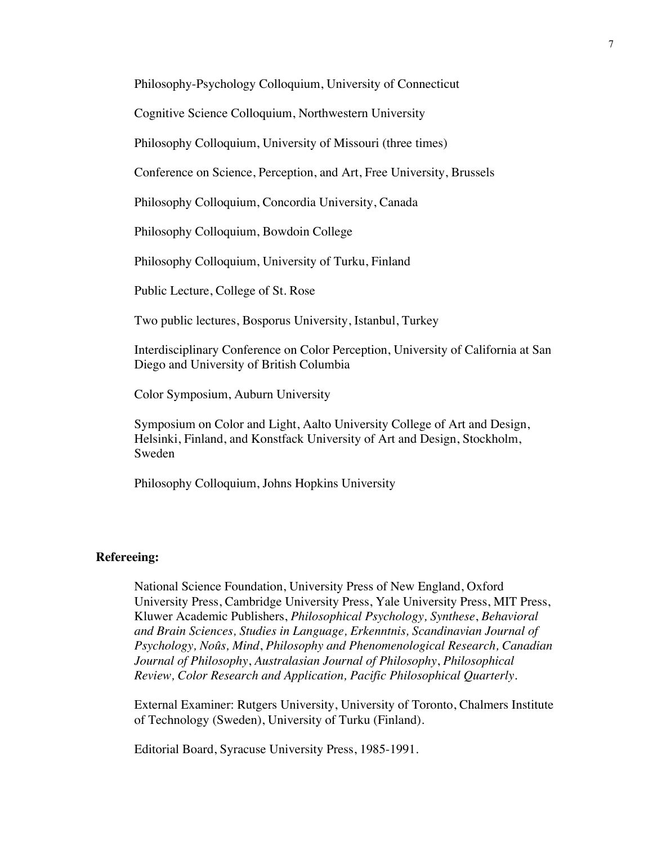Philosophy-Psychology Colloquium, University of Connecticut

Cognitive Science Colloquium, Northwestern University

Philosophy Colloquium, University of Missouri (three times)

Conference on Science, Perception, and Art, Free University, Brussels

Philosophy Colloquium, Concordia University, Canada

Philosophy Colloquium, Bowdoin College

Philosophy Colloquium, University of Turku, Finland

Public Lecture, College of St. Rose

Two public lectures, Bosporus University, Istanbul, Turkey

Interdisciplinary Conference on Color Perception, University of California at San Diego and University of British Columbia

Color Symposium, Auburn University

Symposium on Color and Light, Aalto University College of Art and Design, Helsinki, Finland, and Konstfack University of Art and Design, Stockholm, Sweden

Philosophy Colloquium, Johns Hopkins University

#### **Refereeing:**

National Science Foundation, University Press of New England, Oxford University Press, Cambridge University Press, Yale University Press, MIT Press, Kluwer Academic Publishers, *Philosophical Psychology, Synthese*, *Behavioral and Brain Sciences, Studies in Language, Erkenntnis, Scandinavian Journal of Psychology, Noûs, Mind*, *Philosophy and Phenomenological Research, Canadian Journal of Philosophy*, *Australasian Journal of Philosophy*, *Philosophical Review, Color Research and Application, Pacific Philosophical Quarterly*.

External Examiner: Rutgers University, University of Toronto, Chalmers Institute of Technology (Sweden), University of Turku (Finland).

Editorial Board, Syracuse University Press, 1985-1991.